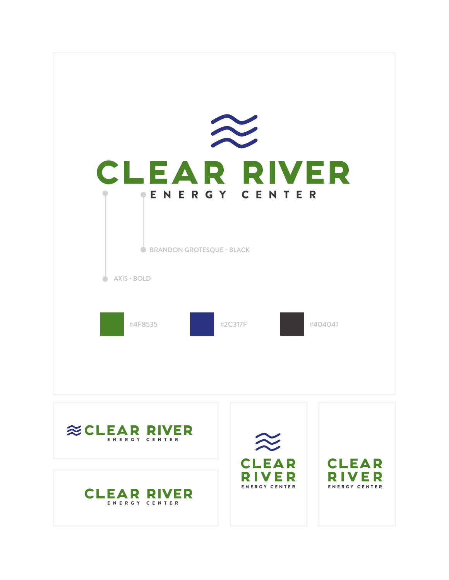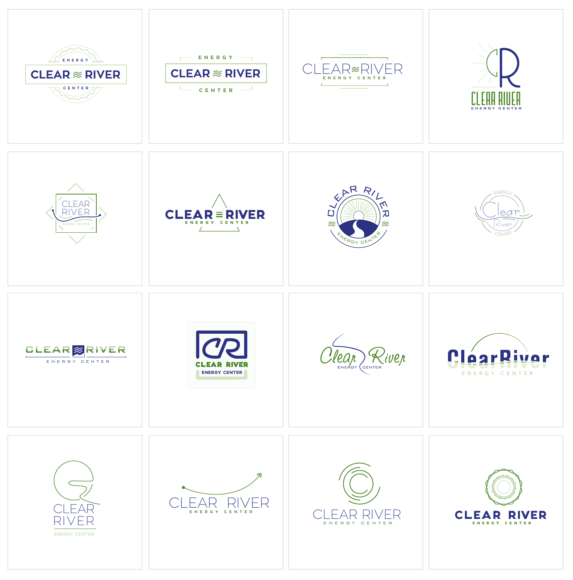